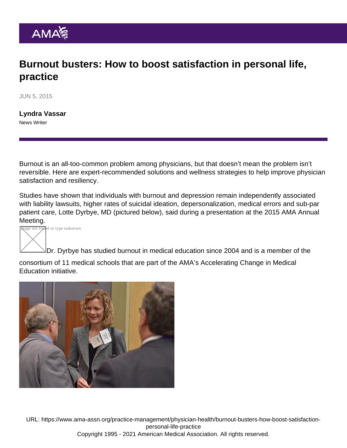## Burnout busters: How to boost satisfaction in personal life, practice

JUN 5, 2015

[Lyndra Vassar](https://www.ama-assn.org/news-leadership-viewpoints/authors-news-leadership-viewpoints/lyndra-vassar) News Writer

Burnout is an all-too-common problem among physicians, but that doesn't mean the problem isn't reversible. Here are expert-recommended solutions and wellness strategies to help improve physician satisfaction and resiliency.

Studies have shown that individuals with burnout and depression remain independently associated with liability lawsuits, higher rates of suicidal ideation, depersonalization, medical errors and sub-par patient care, Lotte Dyrbye, MD (pictured below), said during a presentation at the 2015 AMA Annual Meeting.

mage not found or type unknown

Dr. Dyrbye has studied burnout in medical education since 2004 and is a member of the

consortium of 11 medical schools that are part of the AMA's [Accelerating Change in Medical](https://www.ama-assn.org/education/accelerating-change-medical-education) [Education](https://www.ama-assn.org/education/accelerating-change-medical-education) initiative.

URL: [https://www.ama-assn.org/practice-management/physician-health/burnout-busters-how-boost-satisfaction](https://www.ama-assn.org/practice-management/physician-health/burnout-busters-how-boost-satisfaction-personal-life-practice)[personal-life-practice](https://www.ama-assn.org/practice-management/physician-health/burnout-busters-how-boost-satisfaction-personal-life-practice) Copyright 1995 - 2021 American Medical Association. All rights reserved.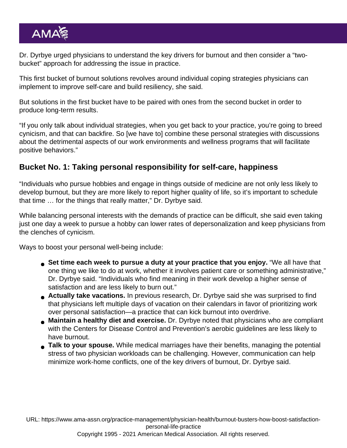Dr. Dyrbye urged physicians to understand the [key drivers for burnout](https://www.ama-assn.org/practice-management/physician-health/how-beat-burnout-7-signs-physicians-should-know) and then consider a "twobucket" approach for addressing the issue in practice.

This first bucket of burnout solutions revolves around individual coping strategies physicians can implement to improve self-care and build resiliency, she said.

But solutions in the first bucket have to be paired with ones from the second bucket in order to produce long-term results.

"If you only talk about individual strategies, when you get back to your practice, you're going to breed cynicism, and that can backfire. So [we have to] combine these personal strategies with discussions about the detrimental aspects of our work environments and wellness programs that will facilitate positive behaviors."

## Bucket No. 1: Taking personal responsibility for self-care, happiness

"Individuals who pursue hobbies and engage in things outside of medicine are not only less likely to develop burnout, but they are more likely to report higher quality of life, so it's important to schedule that time … for the things that really matter," Dr. Dyrbye said.

While balancing personal interests with the demands of practice can be difficult, she said even taking just one day a week to pursue a hobby can lower rates of depersonalization and keep physicians from the clenches of cynicism.

Ways to boost your personal well-being include:

- Set time each week to pursue a duty at your practice that you enjoy. "We all have that one thing we like to do at work, whether it involves patient care or something administrative," Dr. Dyrbye said. "Individuals who find meaning in their work develop a higher sense of satisfaction and are less likely to burn out."
- Actually take vacations. In previous research, Dr. Dyrbye said she was surprised to find that physicians left multiple days of vacation on their calendars in favor of prioritizing work over personal satisfaction—a practice that can kick burnout into overdrive.
- Maintain a healthy diet and exercise. Dr. Dyrbye noted that physicians who are compliant with the Centers for Disease Control and Prevention's aerobic guidelines are less likely to have burnout.
- Talk to your spouse. While [medical marriages](https://www.ama-assn.org/residents-students/health/why-doctors-marry-doctors-exploring-medical-marriages) have their benefits, managing the potential stress of two physician workloads can be challenging. However, communication can help minimize work-home conflicts, one of the key drivers of burnout, Dr. Dyrbye said.

URL: [https://www.ama-assn.org/practice-management/physician-health/burnout-busters-how-boost-satisfaction](https://www.ama-assn.org/practice-management/physician-health/burnout-busters-how-boost-satisfaction-personal-life-practice)[personal-life-practice](https://www.ama-assn.org/practice-management/physician-health/burnout-busters-how-boost-satisfaction-personal-life-practice)